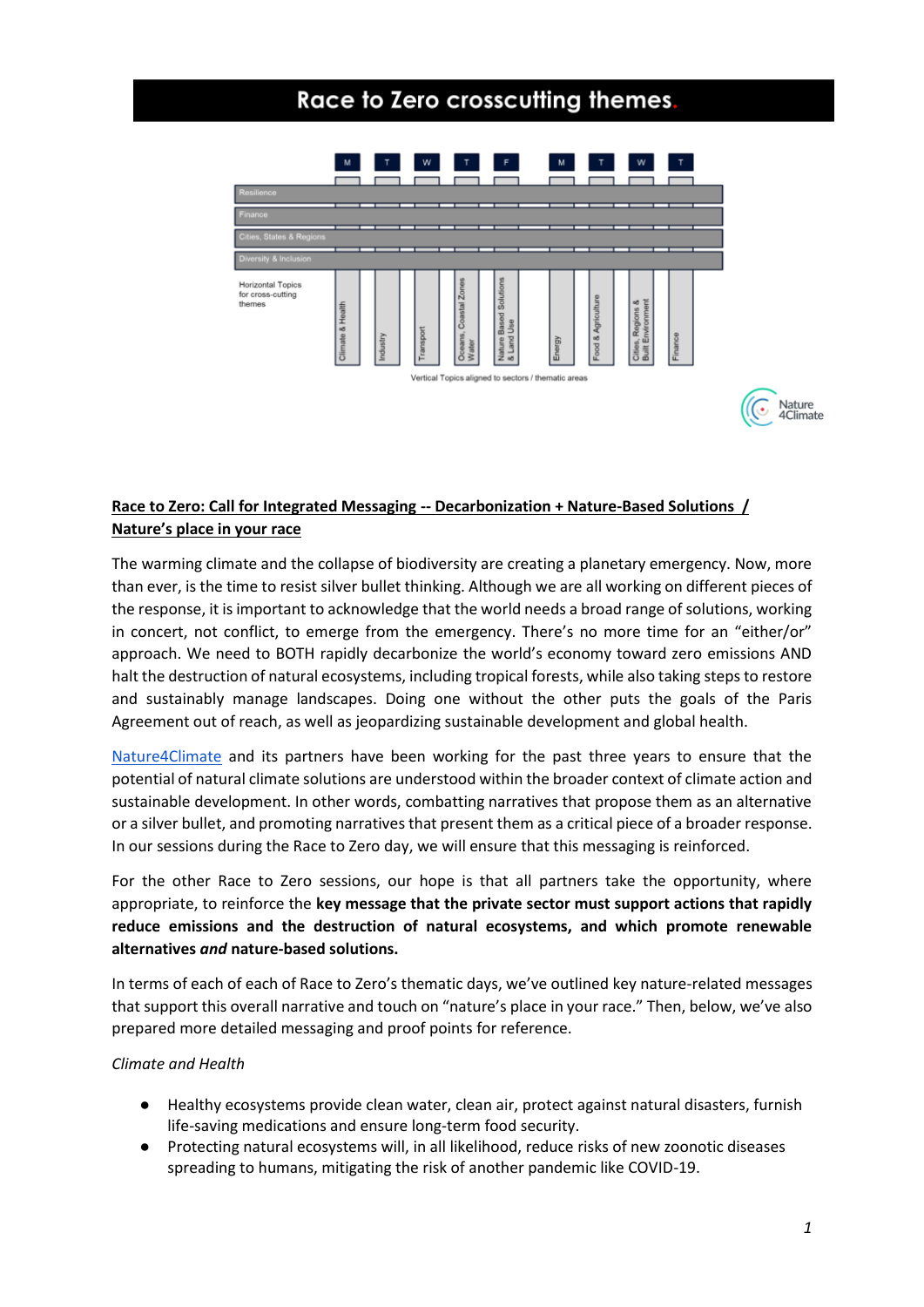# Race to Zero crosscutting themes.



# **Race to Zero: Call for Integrated Messaging -- Decarbonization + Nature-Based Solutions / Nature's place in your race**

The warming climate and the collapse of biodiversity are creating a planetary emergency. Now, more than ever, is the time to resist silver bullet thinking. Although we are all working on different pieces of the response, it is important to acknowledge that the world needs a broad range of solutions, working in concert, not conflict, to emerge from the emergency. There's no more time for an "either/or" approach. We need to BOTH rapidly decarbonize the world's economy toward zero emissions AND halt the destruction of natural ecosystems, including tropical forests, while also taking steps to restore and sustainably manage landscapes. Doing one without the other puts the goals of the Paris Agreement out of reach, as well as jeopardizing sustainable development and global health.

[Nature4Climate](https://nature4climate.org/) and its partners have been working for the past three years to ensure that the potential of natural climate solutions are understood within the broader context of climate action and sustainable development. In other words, combatting narratives that propose them as an alternative or a silver bullet, and promoting narratives that present them as a critical piece of a broader response. In our sessions during the Race to Zero day, we will ensure that this messaging is reinforced.

For the other Race to Zero sessions, our hope is that all partners take the opportunity, where appropriate, to reinforce the **key message that the private sector must support actions that rapidly reduce emissions and the destruction of natural ecosystems, and which promote renewable alternatives** *and* **nature-based solutions.** 

In terms of each of each of Race to Zero's thematic days, we've outlined key nature-related messages that support this overall narrative and touch on "nature's place in your race." Then, below, we've also prepared more detailed messaging and proof points for reference.

# *Climate and Health*

- Healthy ecosystems provide clean water, clean air, protect against natural disasters, furnish life-saving medications and ensure long-term food security.
- Protecting natural ecosystems will, in all likelihood, reduce risks of new zoonotic diseases spreading to humans, mitigating the risk of another pandemic like COVID-19.

Nature 4Climate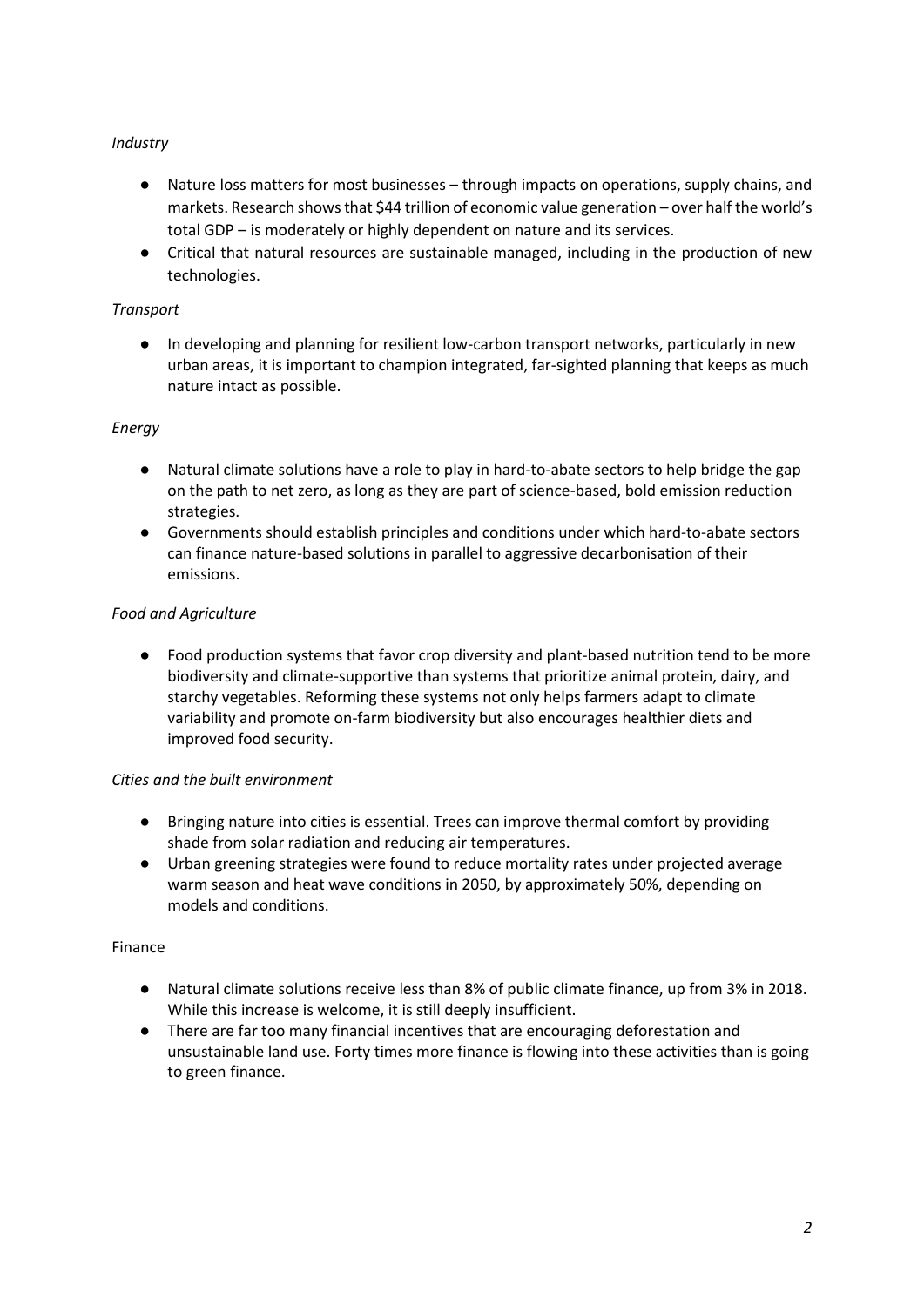# *Industry*

- Nature loss matters for most businesses through impacts on operations, supply chains, and markets. Research shows that \$44 trillion of economic value generation – over half the world's total GDP – is moderately or highly dependent on nature and its services.
- Critical that natural resources are sustainable managed, including in the production of new technologies.

# *Transport*

● In developing and planning for resilient low-carbon transport networks, particularly in new urban areas, it is important to champion integrated, far-sighted planning that keeps as much nature intact as possible.

#### *Energy*

- Natural climate solutions have a role to play in hard-to-abate sectors to help bridge the gap on the path to net zero, as long as they are part of science-based, bold emission reduction strategies.
- Governments should establish principles and conditions under which hard-to-abate sectors can finance nature-based solutions in parallel to aggressive decarbonisation of their emissions.

# *Food and Agriculture*

● Food production systems that favor crop diversity and plant-based nutrition tend to be more biodiversity and climate-supportive than systems that prioritize animal protein, dairy, and starchy vegetables. Reforming these systems not only helps farmers adapt to climate variability and promote on-farm biodiversity but also encourages healthier diets and improved food security.

#### *Cities and the built environment*

- Bringing nature into cities is essential. Trees can improve thermal comfort by providing shade from solar radiation and reducing air temperatures.
- Urban greening strategies were found to reduce mortality rates under projected average warm season and heat wave conditions in 2050, by approximately 50%, depending on models and conditions.

#### Finance

- Natural climate solutions receive less than 8% of public climate finance, up from 3% in 2018. While this increase is welcome, it is still deeply insufficient.
- There are far too many financial incentives that are encouraging deforestation and unsustainable land use. Forty times more finance is flowing into these activities than is going to green finance.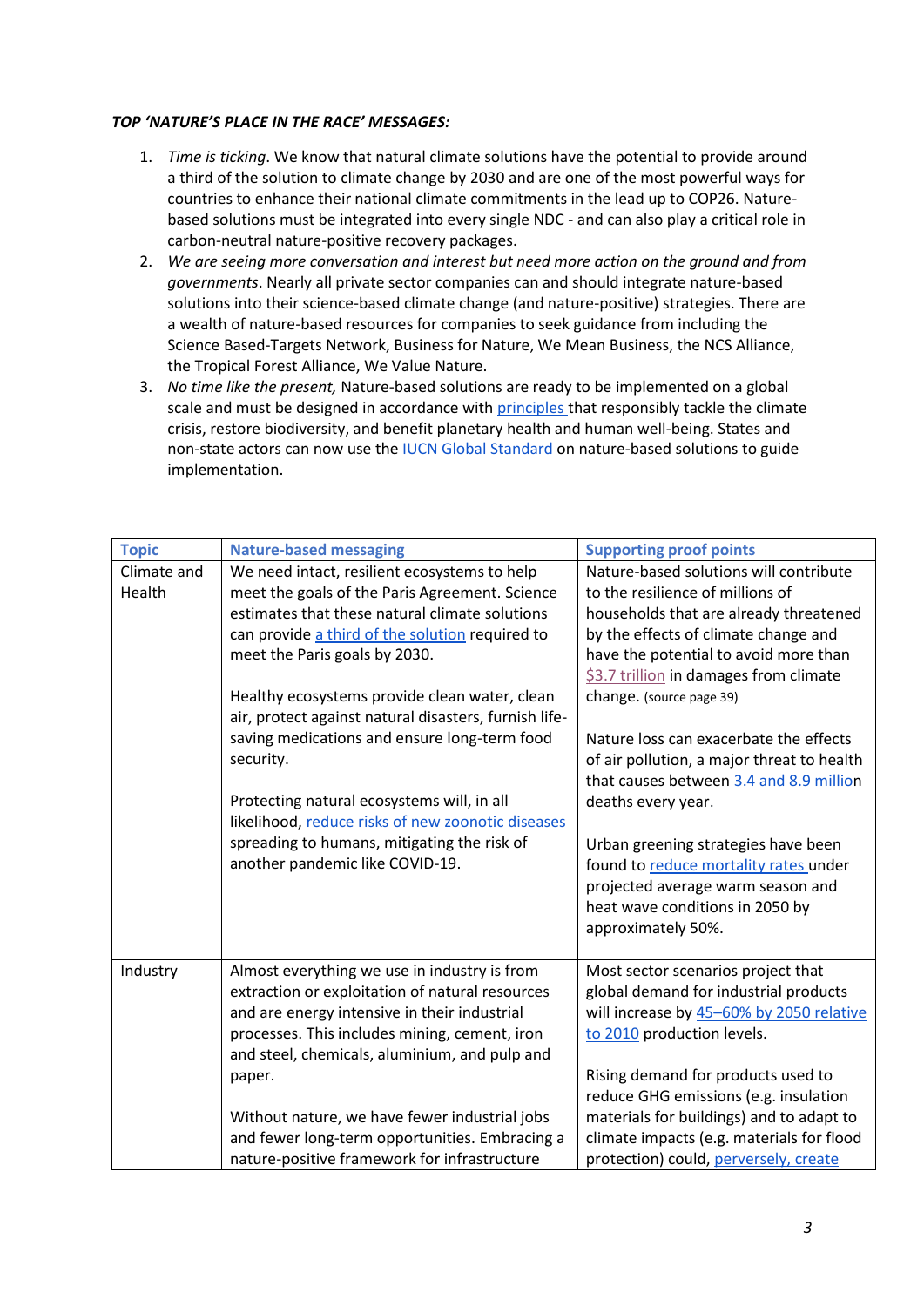#### *TOP 'NATURE'S PLACE IN THE RACE' MESSAGES:*

- 1. *Time is ticking*. We know that natural climate solutions have the potential to provide around a third of the solution to climate change by 2030 and are one of the most powerful ways for countries to enhance their national climate commitments in the lead up to COP26. Naturebased solutions must be integrated into every single NDC - and can also play a critical role in carbon-neutral nature-positive recovery packages.
- 2. *We are seeing more conversation and interest but need more action on the ground and from governments*. Nearly all private sector companies can and should integrate nature-based solutions into their science-based climate change (and nature-positive) strategies. There are a wealth of nature-based resources for companies to seek guidance from including the Science Based-Targets Network, Business for Nature, We Mean Business, the NCS Alliance, the Tropical Forest Alliance, We Value Nature.
- 3. *No time like the present,* Nature-based solutions are ready to be implemented on a global scale and must be designed in accordance with [principles t](https://www.togetherwithnature.com/)hat responsibly tackle the climate crisis, restore biodiversity, and benefit planetary health and human well-being. States and non-state actors can now use the [IUCN Global Standard](https://www.iucn.org/theme/nature-based-solutions/resources/iucn-global-standard-nbs) on nature-based solutions to guide implementation.

| <b>Topic</b>          | <b>Nature-based messaging</b>                                                                  | <b>Supporting proof points</b>                                                  |
|-----------------------|------------------------------------------------------------------------------------------------|---------------------------------------------------------------------------------|
| Climate and<br>Health | We need intact, resilient ecosystems to help<br>meet the goals of the Paris Agreement. Science | Nature-based solutions will contribute<br>to the resilience of millions of      |
|                       | estimates that these natural climate solutions                                                 | households that are already threatened                                          |
|                       | can provide a third of the solution required to                                                | by the effects of climate change and                                            |
|                       | meet the Paris goals by 2030.                                                                  | have the potential to avoid more than<br>\$3.7 trillion in damages from climate |
|                       | Healthy ecosystems provide clean water, clean                                                  | change. (source page 39)                                                        |
|                       | air, protect against natural disasters, furnish life-                                          |                                                                                 |
|                       | saving medications and ensure long-term food                                                   | Nature loss can exacerbate the effects                                          |
|                       | security.                                                                                      | of air pollution, a major threat to health                                      |
|                       |                                                                                                | that causes between 3.4 and 8.9 million                                         |
|                       | Protecting natural ecosystems will, in all                                                     | deaths every year.                                                              |
|                       | likelihood, reduce risks of new zoonotic diseases                                              |                                                                                 |
|                       | spreading to humans, mitigating the risk of<br>another pandemic like COVID-19.                 | Urban greening strategies have been<br>found to reduce mortality rates under    |
|                       |                                                                                                | projected average warm season and                                               |
|                       |                                                                                                | heat wave conditions in 2050 by                                                 |
|                       |                                                                                                | approximately 50%.                                                              |
|                       |                                                                                                |                                                                                 |
| Industry              | Almost everything we use in industry is from                                                   | Most sector scenarios project that                                              |
|                       | extraction or exploitation of natural resources                                                | global demand for industrial products                                           |
|                       | and are energy intensive in their industrial                                                   | will increase by 45-60% by 2050 relative                                        |
|                       | processes. This includes mining, cement, iron                                                  | to 2010 production levels.                                                      |
|                       | and steel, chemicals, aluminium, and pulp and                                                  |                                                                                 |
|                       | paper.                                                                                         | Rising demand for products used to<br>reduce GHG emissions (e.g. insulation     |
|                       | Without nature, we have fewer industrial jobs                                                  | materials for buildings) and to adapt to                                        |
|                       | and fewer long-term opportunities. Embracing a                                                 | climate impacts (e.g. materials for flood                                       |
|                       | nature-positive framework for infrastructure                                                   | protection) could, perversely, create                                           |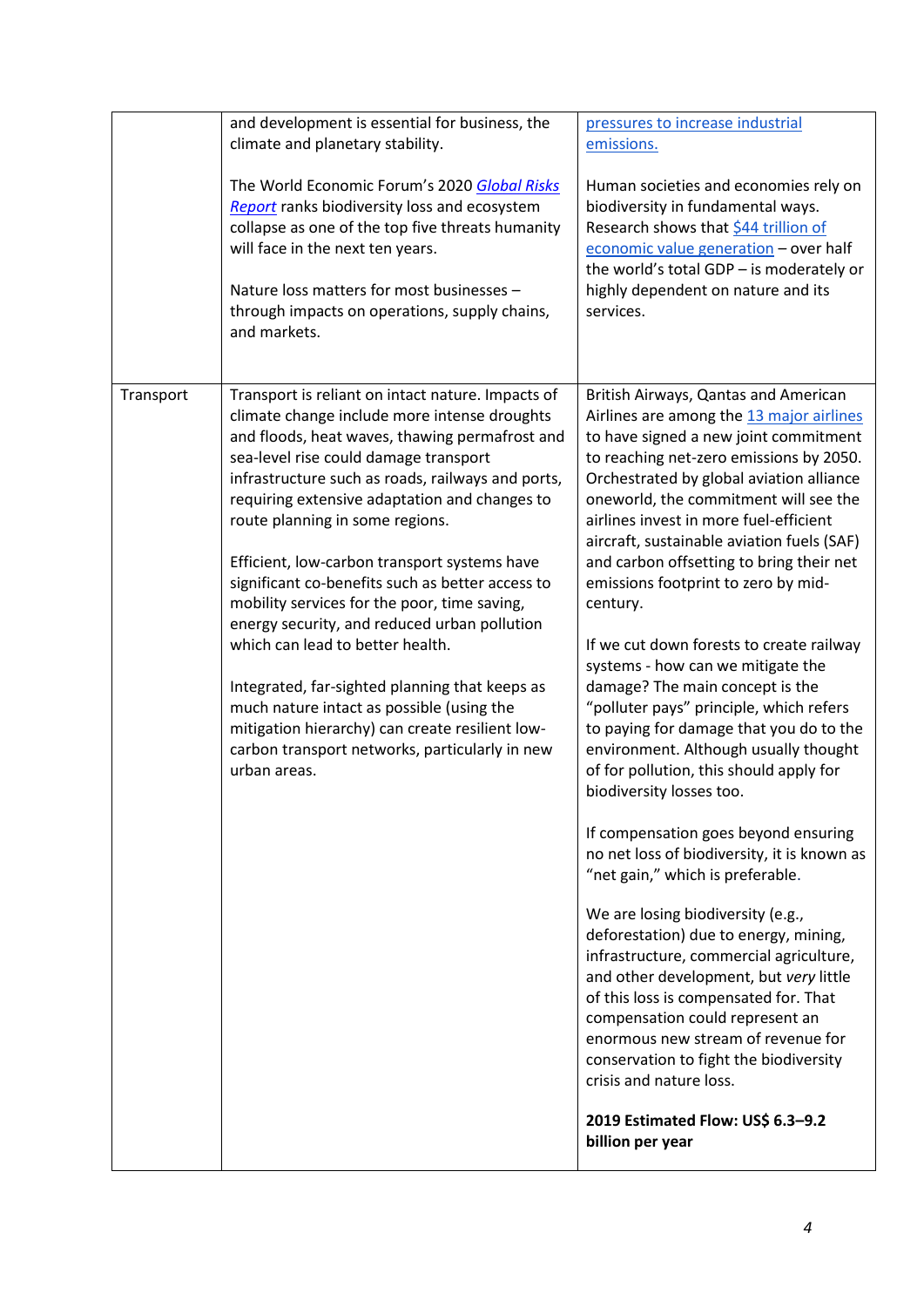|           | and development is essential for business, the<br>climate and planetary stability.<br>The World Economic Forum's 2020 Global Risks<br>Report ranks biodiversity loss and ecosystem<br>collapse as one of the top five threats humanity<br>will face in the next ten years.<br>Nature loss matters for most businesses -<br>through impacts on operations, supply chains,<br>and markets.                                                                                                                                                                                                                                                                                                                                                                                                          | pressures to increase industrial<br>emissions.<br>Human societies and economies rely on<br>biodiversity in fundamental ways.<br>Research shows that \$44 trillion of<br>economic value generation - over half<br>the world's total GDP - is moderately or<br>highly dependent on nature and its<br>services.                                                                                                                                                                                                                                                                                                                                                                                                                                                                                                                                                                                                                                                                                                                                                                                                                                                                                                                                                                                                             |
|-----------|---------------------------------------------------------------------------------------------------------------------------------------------------------------------------------------------------------------------------------------------------------------------------------------------------------------------------------------------------------------------------------------------------------------------------------------------------------------------------------------------------------------------------------------------------------------------------------------------------------------------------------------------------------------------------------------------------------------------------------------------------------------------------------------------------|--------------------------------------------------------------------------------------------------------------------------------------------------------------------------------------------------------------------------------------------------------------------------------------------------------------------------------------------------------------------------------------------------------------------------------------------------------------------------------------------------------------------------------------------------------------------------------------------------------------------------------------------------------------------------------------------------------------------------------------------------------------------------------------------------------------------------------------------------------------------------------------------------------------------------------------------------------------------------------------------------------------------------------------------------------------------------------------------------------------------------------------------------------------------------------------------------------------------------------------------------------------------------------------------------------------------------|
| Transport | Transport is reliant on intact nature. Impacts of<br>climate change include more intense droughts<br>and floods, heat waves, thawing permafrost and<br>sea-level rise could damage transport<br>infrastructure such as roads, railways and ports,<br>requiring extensive adaptation and changes to<br>route planning in some regions.<br>Efficient, low-carbon transport systems have<br>significant co-benefits such as better access to<br>mobility services for the poor, time saving,<br>energy security, and reduced urban pollution<br>which can lead to better health.<br>Integrated, far-sighted planning that keeps as<br>much nature intact as possible (using the<br>mitigation hierarchy) can create resilient low-<br>carbon transport networks, particularly in new<br>urban areas. | British Airways, Qantas and American<br>Airlines are among the 13 major airlines<br>to have signed a new joint commitment<br>to reaching net-zero emissions by 2050.<br>Orchestrated by global aviation alliance<br>oneworld, the commitment will see the<br>airlines invest in more fuel-efficient<br>aircraft, sustainable aviation fuels (SAF)<br>and carbon offsetting to bring their net<br>emissions footprint to zero by mid-<br>century.<br>If we cut down forests to create railway<br>systems - how can we mitigate the<br>damage? The main concept is the<br>"polluter pays" principle, which refers<br>to paying for damage that you do to the<br>environment. Although usually thought<br>of for pollution, this should apply for<br>biodiversity losses too.<br>If compensation goes beyond ensuring<br>no net loss of biodiversity, it is known as<br>"net gain," which is preferable.<br>We are losing biodiversity (e.g.,<br>deforestation) due to energy, mining,<br>infrastructure, commercial agriculture,<br>and other development, but very little<br>of this loss is compensated for. That<br>compensation could represent an<br>enormous new stream of revenue for<br>conservation to fight the biodiversity<br>crisis and nature loss.<br>2019 Estimated Flow: US\$ 6.3-9.2<br>billion per year |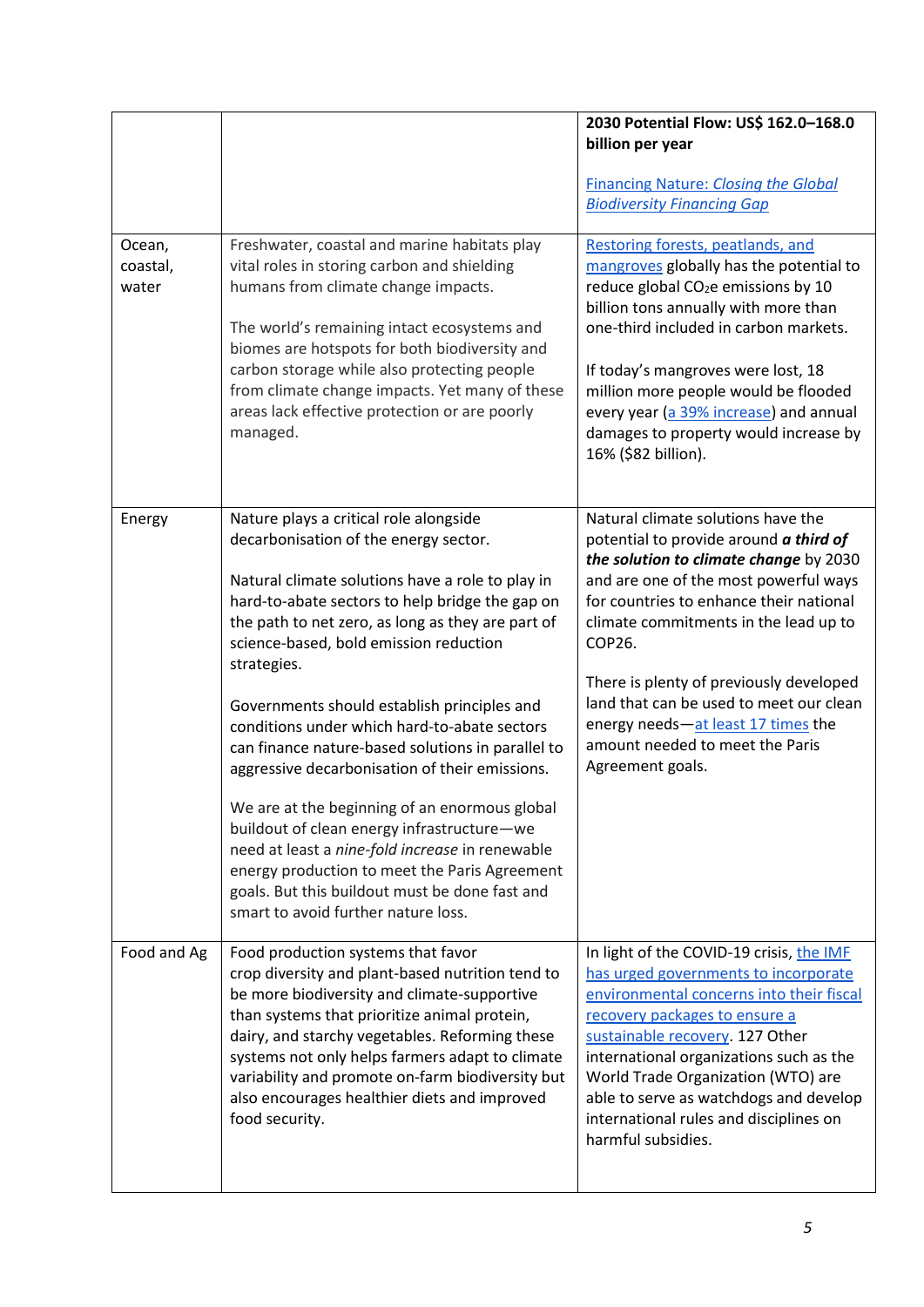|                             |                                                                                                                                                                                                                                                                                                                                                                                                                                                                                                                                                                                                                                                                                                                                                                                                        | 2030 Potential Flow: US\$ 162.0-168.0<br>billion per year<br><b>Financing Nature: Closing the Global</b><br><b>Biodiversity Financing Gap</b>                                                                                                                                                                                                                                                                                                    |
|-----------------------------|--------------------------------------------------------------------------------------------------------------------------------------------------------------------------------------------------------------------------------------------------------------------------------------------------------------------------------------------------------------------------------------------------------------------------------------------------------------------------------------------------------------------------------------------------------------------------------------------------------------------------------------------------------------------------------------------------------------------------------------------------------------------------------------------------------|--------------------------------------------------------------------------------------------------------------------------------------------------------------------------------------------------------------------------------------------------------------------------------------------------------------------------------------------------------------------------------------------------------------------------------------------------|
| Ocean,<br>coastal,<br>water | Freshwater, coastal and marine habitats play<br>vital roles in storing carbon and shielding<br>humans from climate change impacts.<br>The world's remaining intact ecosystems and<br>biomes are hotspots for both biodiversity and<br>carbon storage while also protecting people<br>from climate change impacts. Yet many of these<br>areas lack effective protection or are poorly<br>managed.                                                                                                                                                                                                                                                                                                                                                                                                       | Restoring forests, peatlands, and<br>mangroves globally has the potential to<br>reduce global CO <sub>2</sub> e emissions by 10<br>billion tons annually with more than<br>one-third included in carbon markets.<br>If today's mangroves were lost, 18<br>million more people would be flooded<br>every year (a 39% increase) and annual<br>damages to property would increase by<br>16% (\$82 billion).                                         |
| Energy                      | Nature plays a critical role alongside<br>decarbonisation of the energy sector.<br>Natural climate solutions have a role to play in<br>hard-to-abate sectors to help bridge the gap on<br>the path to net zero, as long as they are part of<br>science-based, bold emission reduction<br>strategies.<br>Governments should establish principles and<br>conditions under which hard-to-abate sectors<br>can finance nature-based solutions in parallel to<br>aggressive decarbonisation of their emissions.<br>We are at the beginning of an enormous global<br>buildout of clean energy infrastructure-we<br>need at least a nine-fold increase in renewable<br>energy production to meet the Paris Agreement<br>goals. But this buildout must be done fast and<br>smart to avoid further nature loss. | Natural climate solutions have the<br>potential to provide around a third of<br>the solution to climate change by 2030<br>and are one of the most powerful ways<br>for countries to enhance their national<br>climate commitments in the lead up to<br>COP26.<br>There is plenty of previously developed<br>land that can be used to meet our clean<br>energy needs-at least 17 times the<br>amount needed to meet the Paris<br>Agreement goals. |
| Food and Ag                 | Food production systems that favor<br>crop diversity and plant-based nutrition tend to<br>be more biodiversity and climate-supportive<br>than systems that prioritize animal protein,<br>dairy, and starchy vegetables. Reforming these<br>systems not only helps farmers adapt to climate<br>variability and promote on-farm biodiversity but<br>also encourages healthier diets and improved<br>food security.                                                                                                                                                                                                                                                                                                                                                                                       | In light of the COVID-19 crisis, the IMF<br>has urged governments to incorporate<br>environmental concerns into their fiscal<br>recovery packages to ensure a<br>sustainable recovery. 127 Other<br>international organizations such as the<br>World Trade Organization (WTO) are<br>able to serve as watchdogs and develop<br>international rules and disciplines on<br>harmful subsidies.                                                      |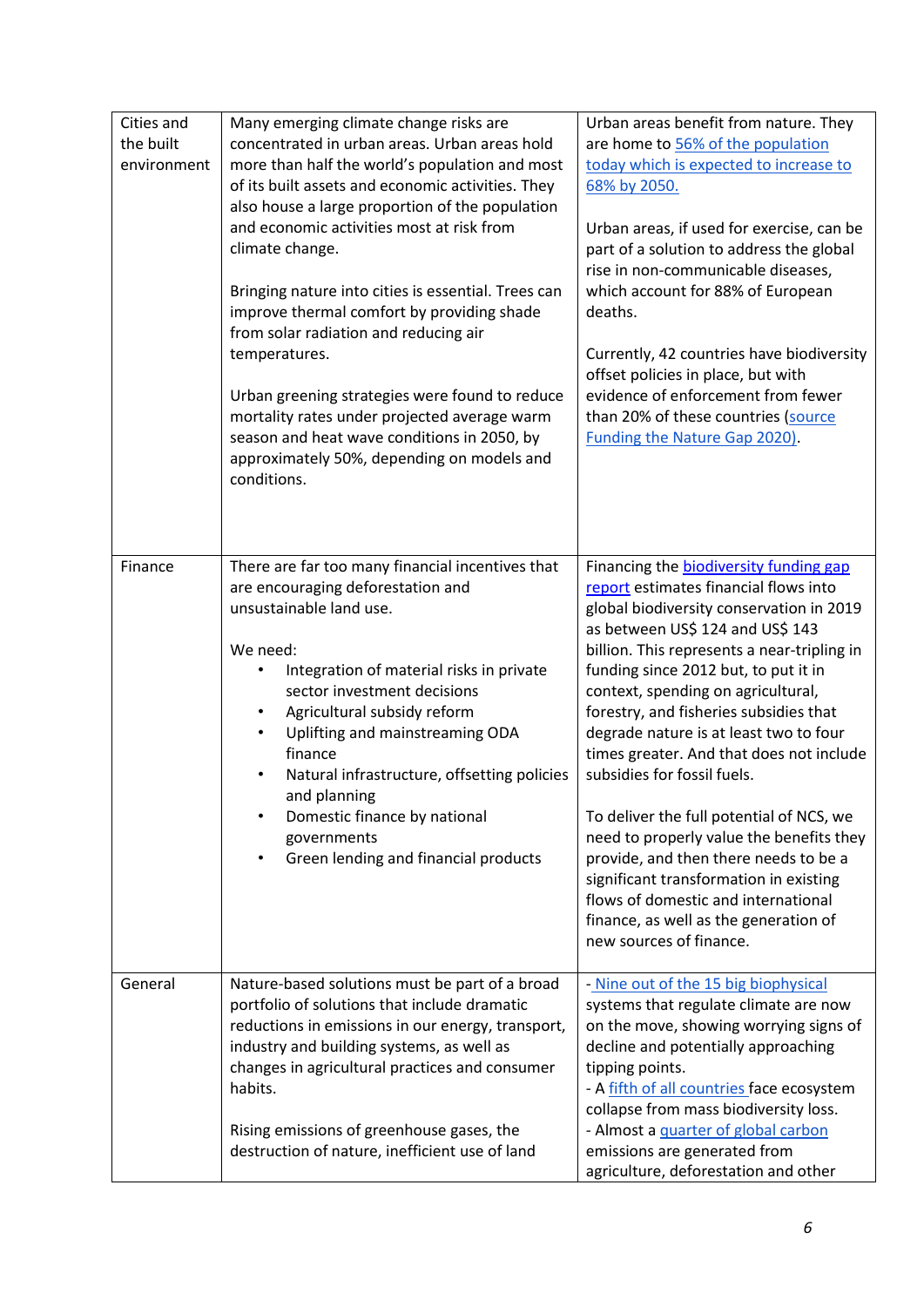| climate change.<br>Bringing nature into cities is essential. Trees can<br>improve thermal comfort by providing shade<br>from solar radiation and reducing air<br>temperatures.<br>Urban greening strategies were found to reduce<br>mortality rates under projected average warm<br>season and heat wave conditions in 2050, by<br>approximately 50%, depending on models and                                                                             | Urban areas, if used for exercise, can be<br>part of a solution to address the global<br>rise in non-communicable diseases,<br>which account for 88% of European<br>deaths.<br>Currently, 42 countries have biodiversity<br>offset policies in place, but with<br>evidence of enforcement from fewer<br>than 20% of these countries (source<br>Funding the Nature Gap 2020).                                                                                                                                                                                                                                                                                                         |
|-----------------------------------------------------------------------------------------------------------------------------------------------------------------------------------------------------------------------------------------------------------------------------------------------------------------------------------------------------------------------------------------------------------------------------------------------------------|--------------------------------------------------------------------------------------------------------------------------------------------------------------------------------------------------------------------------------------------------------------------------------------------------------------------------------------------------------------------------------------------------------------------------------------------------------------------------------------------------------------------------------------------------------------------------------------------------------------------------------------------------------------------------------------|
| conditions.<br>There are far too many financial incentives that<br>are encouraging deforestation and<br>unsustainable land use.<br>We need:<br>Integration of material risks in private<br>sector investment decisions<br>Agricultural subsidy reform<br>Uplifting and mainstreaming ODA<br>finance<br>Natural infrastructure, offsetting policies<br>and planning<br>Domestic finance by national<br>governments<br>Green lending and financial products | Financing the <b>biodiversity</b> funding gap<br>report estimates financial flows into<br>global biodiversity conservation in 2019<br>as between US\$ 124 and US\$ 143<br>billion. This represents a near-tripling in<br>funding since 2012 but, to put it in<br>context, spending on agricultural,<br>forestry, and fisheries subsidies that<br>degrade nature is at least two to four<br>times greater. And that does not include<br>subsidies for fossil fuels.<br>To deliver the full potential of NCS, we<br>need to properly value the benefits they<br>provide, and then there needs to be a<br>significant transformation in existing<br>flows of domestic and international |
| Nature-based solutions must be part of a broad<br>portfolio of solutions that include dramatic<br>reductions in emissions in our energy, transport,<br>industry and building systems, as well as<br>changes in agricultural practices and consumer<br>habits.<br>Rising emissions of greenhouse gases, the                                                                                                                                                | finance, as well as the generation of<br>new sources of finance.<br>- Nine out of the 15 big biophysical<br>systems that regulate climate are now<br>on the move, showing worrying signs of<br>decline and potentially approaching<br>tipping points.<br>- A fifth of all countries face ecosystem<br>collapse from mass biodiversity loss.<br>- Almost a <i>quarter of global carbon</i><br>emissions are generated from                                                                                                                                                                                                                                                            |
|                                                                                                                                                                                                                                                                                                                                                                                                                                                           | also house a large proportion of the population<br>and economic activities most at risk from<br>destruction of nature, inefficient use of land                                                                                                                                                                                                                                                                                                                                                                                                                                                                                                                                       |